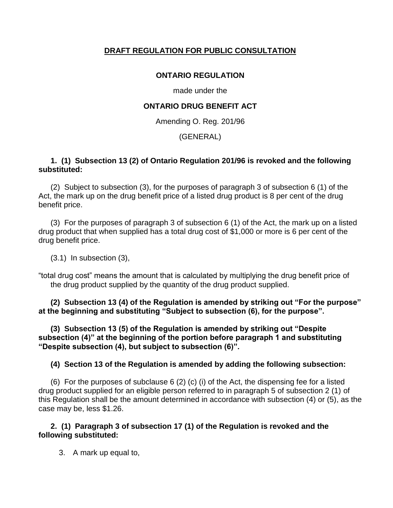## **DRAFT REGULATION FOR PUBLIC CONSULTATION**

## **ONTARIO REGULATION**

made under the

## **ONTARIO DRUG BENEFIT ACT**

Amending O. Reg. 201/96

## (GENERAL)

### **1. (1) Subsection 13 (2) of Ontario Regulation 201/96 is revoked and the following substituted:**

(2) Subject to subsection (3), for the purposes of paragraph 3 of subsection 6 (1) of the Act, the mark up on the drug benefit price of a listed drug product is 8 per cent of the drug benefit price.

(3) For the purposes of paragraph 3 of subsection 6 (1) of the Act, the mark up on a listed drug product that when supplied has a total drug cost of \$1,000 or more is 6 per cent of the drug benefit price.

(3.1) In subsection (3),

"total drug cost" means the amount that is calculated by multiplying the drug benefit price of the drug product supplied by the quantity of the drug product supplied.

**(2) Subsection 13 (4) of the Regulation is amended by striking out "For the purpose" at the beginning and substituting "Subject to subsection (6), for the purpose".**

**(3) Subsection 13 (5) of the Regulation is amended by striking out "Despite subsection (4)" at the beginning of the portion before paragraph 1 and substituting "Despite subsection (4), but subject to subsection (6)".**

## **(4) Section 13 of the Regulation is amended by adding the following subsection:**

(6) For the purposes of subclause 6 (2) (c) (i) of the Act, the dispensing fee for a listed drug product supplied for an eligible person referred to in paragraph 5 of subsection 2 (1) of this Regulation shall be the amount determined in accordance with subsection (4) or (5), as the case may be, less \$1.26.

### **2. (1) Paragraph 3 of subsection 17 (1) of the Regulation is revoked and the following substituted:**

3. A mark up equal to,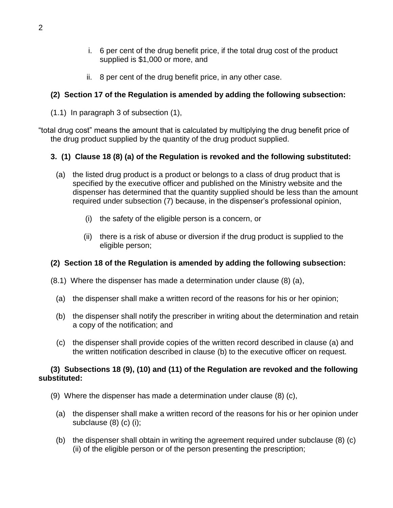- i. 6 per cent of the drug benefit price, if the total drug cost of the product supplied is \$1,000 or more, and
- ii. 8 per cent of the drug benefit price, in any other case.

# **(2) Section 17 of the Regulation is amended by adding the following subsection:**

(1.1) In paragraph 3 of subsection (1),

"total drug cost" means the amount that is calculated by multiplying the drug benefit price of the drug product supplied by the quantity of the drug product supplied.

# **3. (1) Clause 18 (8) (a) of the Regulation is revoked and the following substituted:**

- (a) the listed drug product is a product or belongs to a class of drug product that is specified by the executive officer and published on the Ministry website and the dispenser has determined that the quantity supplied should be less than the amount required under subsection (7) because, in the dispenser's professional opinion,
	- (i) the safety of the eligible person is a concern, or
	- (ii) there is a risk of abuse or diversion if the drug product is supplied to the eligible person;

# **(2) Section 18 of the Regulation is amended by adding the following subsection:**

- (8.1) Where the dispenser has made a determination under clause (8) (a),
	- (a) the dispenser shall make a written record of the reasons for his or her opinion;
	- (b) the dispenser shall notify the prescriber in writing about the determination and retain a copy of the notification; and
	- (c) the dispenser shall provide copies of the written record described in clause (a) and the written notification described in clause (b) to the executive officer on request.

### **(3) Subsections 18 (9), (10) and (11) of the Regulation are revoked and the following substituted:**

- (9) Where the dispenser has made a determination under clause (8) (c),
	- (a) the dispenser shall make a written record of the reasons for his or her opinion under subclause (8) (c) (i);
	- (b) the dispenser shall obtain in writing the agreement required under subclause (8) (c) (ii) of the eligible person or of the person presenting the prescription;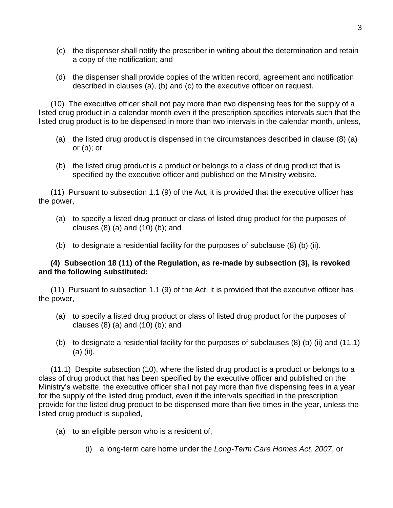- (c) the dispenser shall notify the prescriber in writing about the determination and retain a copy of the notification; and
- (d) the dispenser shall provide copies of the written record, agreement and notification described in clauses (a), (b) and (c) to the executive officer on request.

(10) The executive officer shall not pay more than two dispensing fees for the supply of a listed drug product in a calendar month even if the prescription specifies intervals such that the listed drug product is to be dispensed in more than two intervals in the calendar month, unless,

- (a) the listed drug product is dispensed in the circumstances described in clause (8) (a) or (b); or
- (b) the listed drug product is a product or belongs to a class of drug product that is specified by the executive officer and published on the Ministry website.

(11) Pursuant to subsection 1.1 (9) of the Act, it is provided that the executive officer has the power,

- (a) to specify a listed drug product or class of listed drug product for the purposes of clauses (8) (a) and (10) (b); and
- (b) to designate a residential facility for the purposes of subclause (8) (b) (ii).

### **(4) Subsection 18 (11) of the Regulation, as re-made by subsection (3), is revoked and the following substituted:**

(11) Pursuant to subsection 1.1 (9) of the Act, it is provided that the executive officer has the power,

- (a) to specify a listed drug product or class of listed drug product for the purposes of clauses (8) (a) and (10) (b); and
- (b) to designate a residential facility for the purposes of subclauses (8) (b) (ii) and (11.1) (a) (ii).

(11.1) Despite subsection (10), where the listed drug product is a product or belongs to a class of drug product that has been specified by the executive officer and published on the Ministry's website, the executive officer shall not pay more than five dispensing fees in a year for the supply of the listed drug product, even if the intervals specified in the prescription provide for the listed drug product to be dispensed more than five times in the year, unless the listed drug product is supplied,

- (a) to an eligible person who is a resident of,
	- (i) a long-term care home under the *Long-Term Care Homes Act, 2007*, or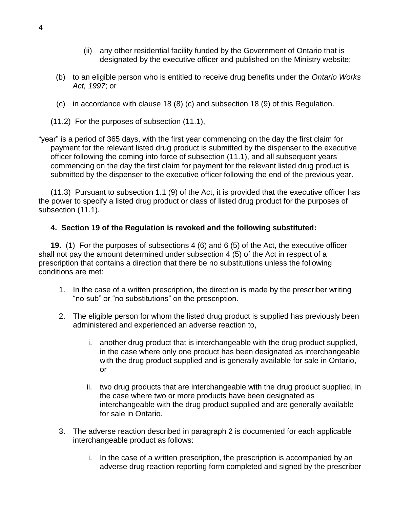- (ii) any other residential facility funded by the Government of Ontario that is designated by the executive officer and published on the Ministry website;
- (b) to an eligible person who is entitled to receive drug benefits under the *Ontario Works Act, 1997*; or
- (c) in accordance with clause 18 (8) (c) and subsection 18 (9) of this Regulation.
- (11.2) For the purposes of subsection (11.1),

"year" is a period of 365 days, with the first year commencing on the day the first claim for payment for the relevant listed drug product is submitted by the dispenser to the executive officer following the coming into force of subsection (11.1), and all subsequent years commencing on the day the first claim for payment for the relevant listed drug product is submitted by the dispenser to the executive officer following the end of the previous year.

(11.3) Pursuant to subsection 1.1 (9) of the Act, it is provided that the executive officer has the power to specify a listed drug product or class of listed drug product for the purposes of subsection (11.1).

### **4. Section 19 of the Regulation is revoked and the following substituted:**

**19.** (1) For the purposes of subsections 4 (6) and 6 (5) of the Act, the executive officer shall not pay the amount determined under subsection 4 (5) of the Act in respect of a prescription that contains a direction that there be no substitutions unless the following conditions are met:

- 1. In the case of a written prescription, the direction is made by the prescriber writing "no sub" or "no substitutions" on the prescription.
- 2. The eligible person for whom the listed drug product is supplied has previously been administered and experienced an adverse reaction to,
	- i. another drug product that is interchangeable with the drug product supplied, in the case where only one product has been designated as interchangeable with the drug product supplied and is generally available for sale in Ontario, or
	- ii. two drug products that are interchangeable with the drug product supplied, in the case where two or more products have been designated as interchangeable with the drug product supplied and are generally available for sale in Ontario.
- 3. The adverse reaction described in paragraph 2 is documented for each applicable interchangeable product as follows:
	- i. In the case of a written prescription, the prescription is accompanied by an adverse drug reaction reporting form completed and signed by the prescriber